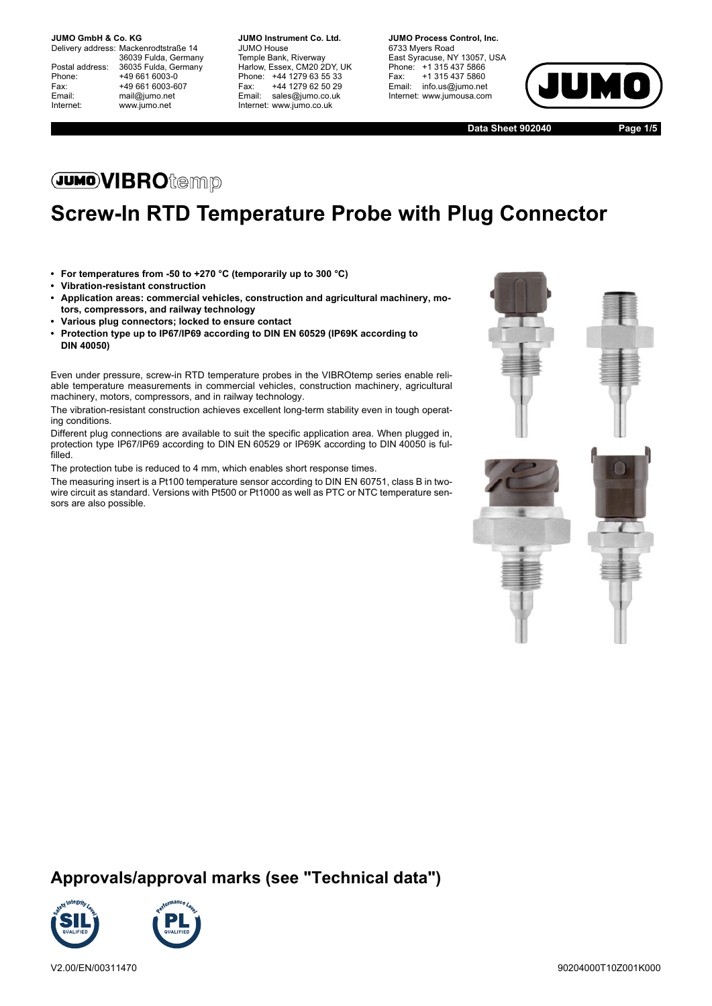Internet: www.jumo.net

Delivery address: Mackenrodtstraße 14 36039 Fulda, Germany Postal address: 36035 Fulda, Germany<br>Phone: +49 661 6003-0 Phone: +49 661 6003-0<br>Fax: +49 661 6003-6 Fax: +49 661 6003-607<br>
Fmail: mail@iumo.net mail@jumo.net

**-BUMO Instrument Co. Ltd.** JUMO House Temple Bank, Riverway Harlow, Essex, CM20 2DY, UK Phone: +44 1279 63 55 33<br>Fax: +44 1279 62 50 29 +44 1279 62 50 29 Email: sales@jumo.co.uk Internet: www.jumo.co.uk

**-BURG Process Control Inc.** 6733 Myers Road East Syracuse, NY 13057, USA Phone: +1 315 437 5866<br>Fax: +1 315 437 5860 +1 315 437 5860 Email: info.us@jumo.net Internet: www.jumousa.com



**Data Sheet 902040 Page 1/5**

# **JUMOVIBRO**temp

# **Screw-In RTD Temperature Probe with Plug Connector**

- **For temperatures from -50 to +270 °C (temporarily up to 300 °C)**
- **Vibration-resistant construction**
- **Application areas: commercial vehicles, construction and agricultural machinery, motors, compressors, and railway technology**
- **Various plug connectors; locked to ensure contact**
- **Protection type up to IP67/IP69 according to DIN EN 60529 (IP69K according to DIN 40050)**

Even under pressure, screw-in RTD temperature probes in the VIBROtemp series enable reliable temperature measurements in commercial vehicles, construction machinery, agricultural machinery, motors, compressors, and in railway technology.

The vibration-resistant construction achieves excellent long-term stability even in tough operating conditions.

Different plug connections are available to suit the specific application area. When plugged in, protection type IP67/IP69 according to DIN EN 60529 or IP69K according to DIN 40050 is fulfilled.

The protection tube is reduced to 4 mm, which enables short response times.

The measuring insert is a Pt100 temperature sensor according to DIN EN 60751, class B in twowire circuit as standard. Versions with Pt500 or Pt1000 as well as PTC or NTC temperature sensors are also possible.



### **Approvals/approval marks (see "Technical data")**

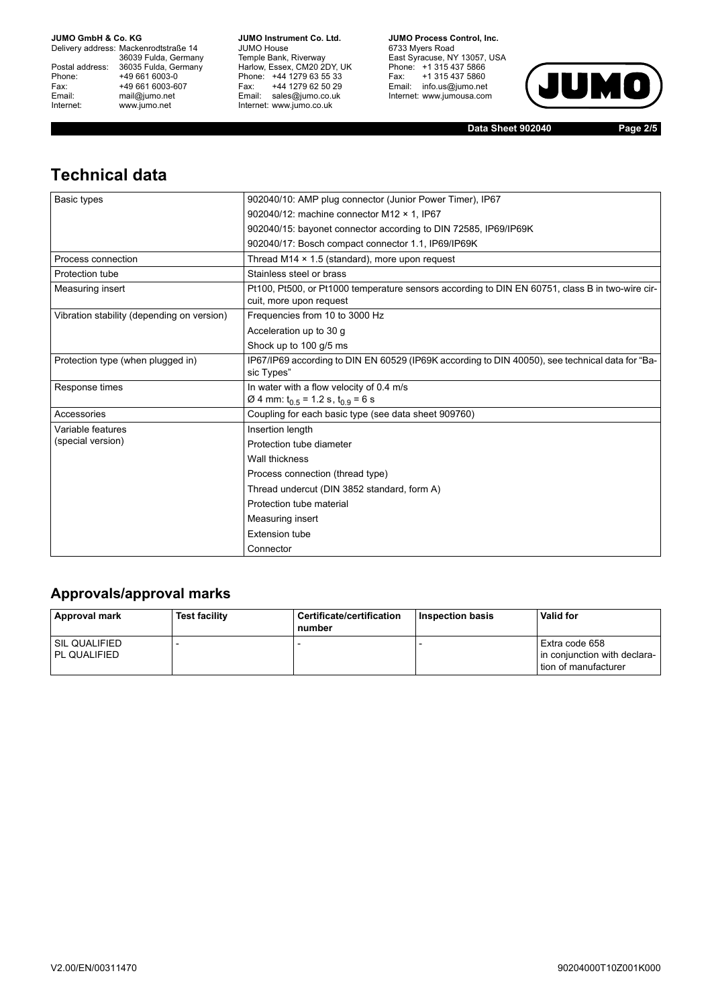Delivery address: Mackenrodtstraße 14 36039 Fulda, Germany<br>Postal address: 36035 Fulda, Germany Phone: +49 661 6003-0<br>
Fax: +49 661 6003-6<br>
Email: mail@jumo.net +49 661 6003-607 Email: mail@jumo.net<br>Internet: www.iumo.net www.jumo.net

**JUMO Instrument Co. Ltd.** JUMO House Temple Bank, Riverway<br>Harlow, Essex, CM20 2DY, UK Phone: +44 1279 63 55 33 Fax: +44 1279 62 50 29<br>Email: sales@jumo.co.uk Internet: www.jumo.co.uk

**JUMO Process Control. Inc.** 6733 Myers Road East Syracuse, NY 13057, USA<br>Phone: +1 315 437 5866<br>Fax: +1 315 437 5860 Email: info.us@jumo.net Internet: www.jumousa.com



**Data Sheet 902040 Page 2/5**

# **Technical data**

| Basic types                                | 902040/10: AMP plug connector (Junior Power Timer), IP67                                                                   |  |  |  |  |
|--------------------------------------------|----------------------------------------------------------------------------------------------------------------------------|--|--|--|--|
|                                            | 902040/12: machine connector M12 × 1. IP67                                                                                 |  |  |  |  |
|                                            | 902040/15: bayonet connector according to DIN 72585, IP69/IP69K                                                            |  |  |  |  |
|                                            | 902040/17: Bosch compact connector 1.1, IP69/IP69K                                                                         |  |  |  |  |
| Process connection                         | Thread M14 $\times$ 1.5 (standard), more upon request                                                                      |  |  |  |  |
| Protection tube                            | Stainless steel or brass                                                                                                   |  |  |  |  |
| Measuring insert                           | Pt100, Pt500, or Pt1000 temperature sensors according to DIN EN 60751, class B in two-wire cir-<br>cuit, more upon request |  |  |  |  |
| Vibration stability (depending on version) | Frequencies from 10 to 3000 Hz                                                                                             |  |  |  |  |
|                                            | Acceleration up to 30 g                                                                                                    |  |  |  |  |
|                                            | Shock up to 100 g/5 ms                                                                                                     |  |  |  |  |
| Protection type (when plugged in)          | IP67/IP69 according to DIN EN 60529 (IP69K according to DIN 40050), see technical data for "Ba-<br>sic Types"              |  |  |  |  |
| Response times                             | In water with a flow velocity of 0.4 m/s                                                                                   |  |  |  |  |
|                                            | Ø 4 mm: $t_{0.5}$ = 1.2 s, $t_{0.9}$ = 6 s                                                                                 |  |  |  |  |
| Accessories                                | Coupling for each basic type (see data sheet 909760)                                                                       |  |  |  |  |
| Variable features                          | Insertion length                                                                                                           |  |  |  |  |
| (special version)                          | Protection tube diameter                                                                                                   |  |  |  |  |
|                                            | Wall thickness                                                                                                             |  |  |  |  |
|                                            | Process connection (thread type)                                                                                           |  |  |  |  |
|                                            | Thread undercut (DIN 3852 standard, form A)                                                                                |  |  |  |  |
|                                            | Protection tube material                                                                                                   |  |  |  |  |
|                                            | Measuring insert                                                                                                           |  |  |  |  |
|                                            | <b>Extension tube</b>                                                                                                      |  |  |  |  |
|                                            | Connector                                                                                                                  |  |  |  |  |

### **Approvals/approval marks**

| <b>Approval mark</b>              | <b>Test facility</b> | Certificate/certification<br>number | Inspection basis | <b>Valid for</b>                                                       |
|-----------------------------------|----------------------|-------------------------------------|------------------|------------------------------------------------------------------------|
| I SIL QUALIFIED<br>l PL QUALIFIED |                      |                                     |                  | Extra code 658<br>in conjunction with declara-<br>tion of manufacturer |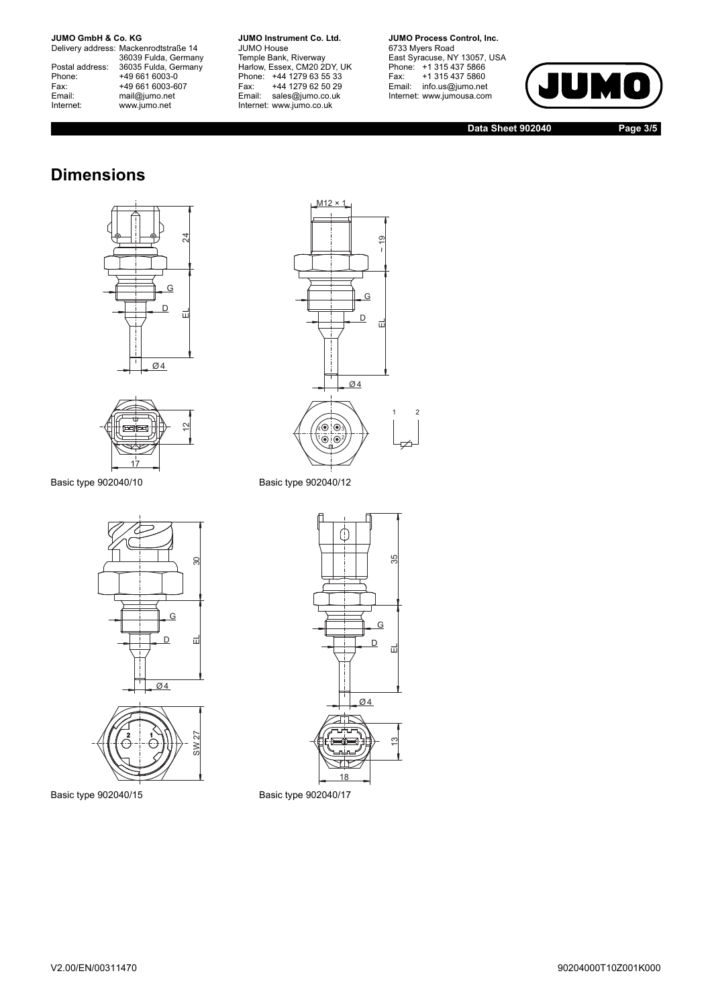Delivery address: Mackenrodtstraße 14 36039 Fulda, Germany<br>Postal address: 36035 Fulda, Germany Phone: +49 661 6003-0<br>
Fax: +49 661 6003-6<br>
Email: mail@jumo.net +49 661 6003-607 Email: mail@jumo.net<br>Internet: www.iumo.net www.jumo.net

**JUMO Instrument Co. Ltd.** JUMO House Temple Bank, Riverway<br>Harlow, Essex, CM20 2DY, UK Phone: +44 1279 63 55 33<br>Fax: +44 1279 62 50 29 +44 1279 62 50 29 Email: sales@jumo.co.uk Internet: www.jumo.co.uk

**JUMO Process Control, Inc.** 6733 Myers Road East Syracuse, NY 13057, USA<br>Phone: +1 315 437 5866<br>Fax: +1 315 437 5860 Email: info.us@jumo.net Internet: www.jumousa.com



**Data Sheet 902040 Page 3/5**

## **Dimensions**





Basic type 902040/10 Basic type 902040/12







Basic type 902040/15 Basic type 902040/17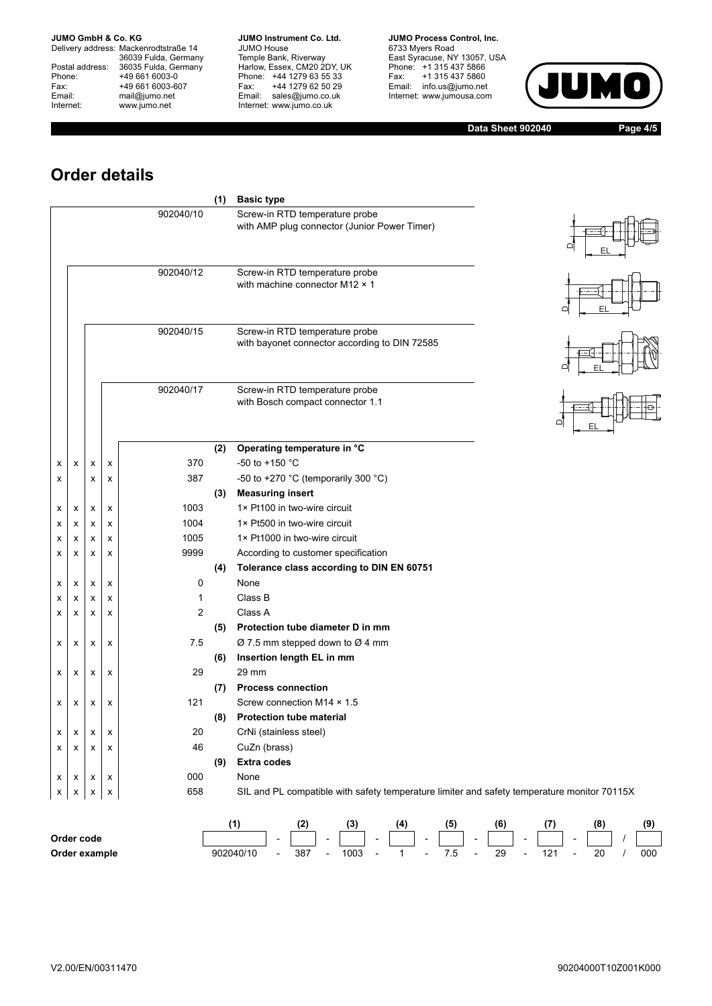Delivery address: Mackenrodtstraße 14 36039 Fulda, Germany<br>Postal address: 36035 Fulda, Germany Phone: +49 661 6003-0<br>
Fax: +49 661 6003-6<br>
Email: mail@jumo.net +49 661 6003-607 Email: mail@jumo.net<br>Internet: www.iumo.net www.jumo.net

**JUMO Instrument Co. Ltd.** JUMO House Temple Bank, Riverway<br>Harlow, Essex, CM20 2DY, UK<br>Phone: +44 1279 63 55 33 Fax: +44 1279 62 50 29 Fax: +44 1279 62 50 29<br>Email: sales@jumo.co.uk Internet: www.jumo.co.uk

**JUMO Process Control. Inc.** 6733 Myers Road East Syracuse, NY 13057, USA<br>Phone: +1 315 437 5866<br>Fax: +1 315 437 5860 Email: info.us@jumo.net Internet: www.jumousa.com



**Data Sheet 902040 Page 4/5**

# **Order details**

|   |   |   |   |                | (1) | <b>Basic type</b>                                                                           |  |
|---|---|---|---|----------------|-----|---------------------------------------------------------------------------------------------|--|
|   |   |   |   | 902040/10      |     | Screw-in RTD temperature probe<br>with AMP plug connector (Junior Power Timer)              |  |
|   |   |   |   | 902040/12      |     | Screw-in RTD temperature probe<br>with machine connector M12 $\times$ 1                     |  |
|   |   |   |   | 902040/15      |     | Screw-in RTD temperature probe<br>with bayonet connector according to DIN 72585             |  |
|   |   |   |   | 902040/17      |     | Screw-in RTD temperature probe<br>with Bosch compact connector 1.1                          |  |
|   |   |   |   |                | (2) | Operating temperature in °C                                                                 |  |
| х | x | x | x | 370            |     | -50 to +150 $^{\circ}$ C                                                                    |  |
| х |   | x | x | 387            |     | -50 to +270 °C (temporarily 300 °C)                                                         |  |
|   |   |   |   |                | (3) | <b>Measuring insert</b>                                                                     |  |
| х | х | х | x | 1003           |     | 1× Pt100 in two-wire circuit                                                                |  |
| х | х | x | x | 1004           |     | 1× Pt500 in two-wire circuit                                                                |  |
| х | х | x | x | 1005           |     | 1× Pt1000 in two-wire circuit                                                               |  |
| х | x | x | x | 9999           |     | According to customer specification                                                         |  |
|   |   |   |   |                | (4) | Tolerance class according to DIN EN 60751                                                   |  |
| х | x | x | x | $\mathbf 0$    |     | None                                                                                        |  |
| х | x | x | х | $\mathbf{1}$   |     | Class B                                                                                     |  |
| х | X | X | x | $\overline{2}$ |     | Class A                                                                                     |  |
|   |   |   |   |                | (5) | Protection tube diameter D in mm                                                            |  |
| х | х | x | x | 7.5            |     | $\varnothing$ 7.5 mm stepped down to $\varnothing$ 4 mm                                     |  |
|   |   |   |   |                | (6) | Insertion length EL in mm                                                                   |  |
| х | X | x | x | 29             |     | 29 mm                                                                                       |  |
|   |   |   |   |                |     | (7) Process connection                                                                      |  |
| х | x | x | X | 121            |     | Screw connection M14 × 1.5                                                                  |  |
|   |   |   |   |                | (8) | <b>Protection tube material</b>                                                             |  |
| х | x | x | x | 20             |     | CrNi (stainless steel)                                                                      |  |
| х | x | x | x | 46             |     | CuZn (brass)                                                                                |  |
|   |   |   |   |                | (9) | <b>Extra codes</b>                                                                          |  |
| х | X | x | X | 000            |     | None                                                                                        |  |
| х | x | x | X | 658            |     | SIL and PL compatible with safety temperature limiter and safety temperature monitor 70115X |  |

|               |           | ָ<br>. . |                          | w    |               | 14 |        | (5        |               | (6 |               |     |                          | 6) | (9) |
|---------------|-----------|----------|--------------------------|------|---------------|----|--------|-----------|---------------|----|---------------|-----|--------------------------|----|-----|
| Order code    |           |          |                          |      | $\sim$ $\sim$ |    | $\sim$ |           | $\sim$ $\sim$ |    | $\sim$ $\sim$ |     | $\overline{\phantom{a}}$ |    |     |
| Order example | 902040/10 | 387      | $\overline{\phantom{0}}$ | 1003 |               |    |        | - -<br>ن. |               | 29 |               | 12' |                          | 20 | 000 |